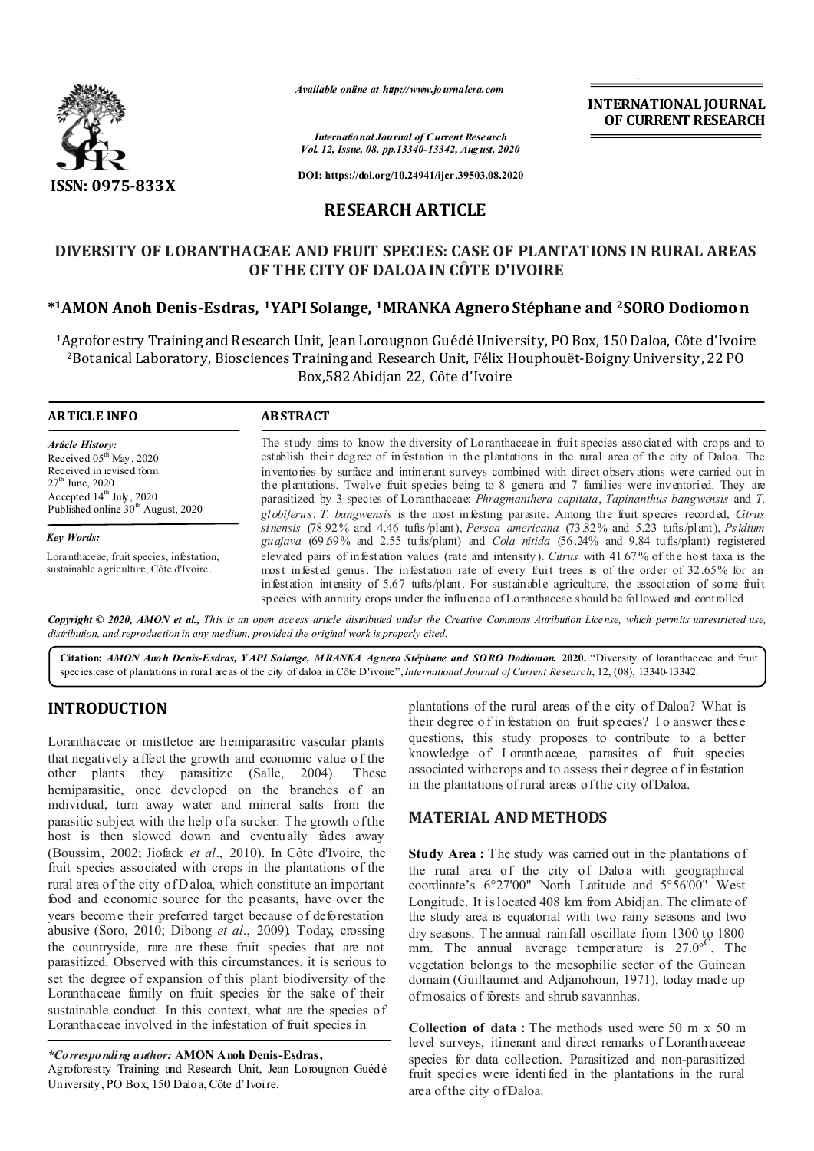

*Available online at http://www.journalcra.com*

**INTERNATIONAL JOURNAL OF CURRENT RESEARCH**

*International Journal of Current Research Vol. 12, Issue, 08, pp.13340-13342, August, 2020*

**DOI: https://doi.org/10.24941/ijcr.39503.08.2020**

# **RESEARCH ARTICLE**

# **DIVERSITY OF LORANTHACEAE AND FRUIT SPECIES: CASE OF PLANTATIONS IN RURAL AREAS OF THE CITY OF DALOA IN CÔTE D'IVOIRE**

## **\*1AMON Anoh Denis-Esdras, 1YAPI Solange, 1MRANKA Agnero Stéphane and 2SORO Dodiomo n**

<sup>1</sup>Agroforestry Training and Research Unit, Jean Lorougnon Guédé University, PO Box, 150 Daloa, Côte d'Ivoire 2Botanical Laboratory, Biosciences Training and Research Unit, Félix Houphouët-Boigny University, 22 PO Box,582 Abidjan 22, Côte d'Ivoire

## **ARTICLE INFO ABSTRACT**

*Article History:* Received 05<sup>th</sup> May, 2020 Received in revised form  $27<sup>th</sup>$  June, 2020 Accepted  $14^{th}$  July, 2020 Published online 30<sup>th</sup> August, 2020

*Key Words:*

Loranthaceae, fruit species, infestation, sustainable agriculture, Côte d'Ivoire.

The study aims to know the diversity of Loranthaceae in fruit species associated with crops and to establish their degree of infestation in the plantations in the rural area of the city of Daloa. The inventories by surface and intinerant surveys combined with direct observations were carried out in the plantations. Twelve fruit species being to 8 genera and 7 families were inventoried. They are parasitized by 3 species of Loranthaceae: *Phragmanthera capitata*, *Tapinanthus bangwensis* and *T. globiferus*. *T. bangwensis* is the most infesting parasite. Among the fruit species recorded, *Citrus sinensis* (78.92% and 4.46 tufts/plant), *Persea americana* (73.82% and 5.23 tufts/plant), *Psidium guajava* (69.69% and 2.55 tufts/plant) and *Cola nitida* (56.24% and 9.84 tufts/plant) registered elevated pairs of infestation values (rate and intensity). *Citrus* with 41.67% of the host taxa is the most infested genus. The infestation rate of every fruit trees is of the order of 32.65% for an infestation intensity of 5.67 tufts/plant. For sustainable agriculture, the association of some fruit species with annuity crops under the influence of Loranthaceae should be followed and controlled.

Copyright © 2020, AMON et al., This is an open access article distributed under the Creative Commons Attribution License, which permits unrestricted use, *distribution, and reproduction in any medium, provided the original work is properly cited.*

**Citation:** *AMON Anoh Denis-Esdras, Y API Solange, MRANKA Agnero Stéphane and SORO Dodiomon.* **2020.** "Diversity of loranthaceae and fruit species:case of plantations in rural areas of the city of daloa in Côte D'ivoire",*International Journal of Current Research*, 12, (08), 13340-13342.

# **INTRODUCTION**

Loranthaceae or mistletoe are hemiparasitic vascular plants that negatively affect the growth and economic value o f the other plants they parasitize (Salle, 2004). These hemiparasitic, once developed on the branches of an individual, turn away water and mineral salts from the parasitic subject with the help of a sucker. The growth of the host is then slowed down and eventually fades away (Boussim, 2002; Jiofack *et al*., 2010). In Côte d'Ivoire, the fruit species associated with crops in the plantations of the rural area of the city of D aloa, which constitute an important food and economic source for the peasants, have over the years become their preferred target because of deforestation abusive (Soro, 2010; Dibong *et al*., 2009). Today, crossing the countryside, rare are these fruit species that are not parasitized. Observed with this circumstances, it is serious to set the degree of expansion of this plant biodiversity of the Loranthaceae family on fruit species for the sake of their sustainable conduct. In this context, what are the species of Loranthaceae involved in the infestation of fruit species in

Agroforestry Training and Research Unit, Jean Lorougnon Guédé University, PO Box, 150 Daloa, Côte d'Ivoire.

plantations of the rural areas of the city of Daloa? What is their degree o f in festation on fruit species? To answer these questions, this study proposes to contribute to a better knowledge of Loranthaceae, parasites of fruit species associated withcrops and to assess their degree of in festation in the plantations of rural areas of the city of Daloa.

## **MATERIAL AND METHODS**

**Study Area :** The study was carried out in the plantations of the rural area of the city of Daloa with geographical coordinate's 6°27'00" North Latitude and 5°56'00" West Longitude. It is located 408 km from Abidjan. The climate of the study area is equatorial with two rainy seasons and two dry seasons. T he annual rainfall oscillate from 1300 to 1800 mm. The annual average temperature is  $27.0^{\circ}$ . The vegetation belongs to the mesophilic sector of the Guinean domain (Guillaumet and Adjanohoun, 1971), today made up of mosaics of forests and shrub savannhas.

**Collection of data :** The methods used were 50 m x 50 m level surveys, itinerant and direct remarks of Loranthaceeae species for data collection. Parasitized and non-parasitized fruit species were identified in the plantations in the rural area of the city of Daloa.

*<sup>\*</sup>Corresponding author:* **AMON Anoh Denis-Esdras,**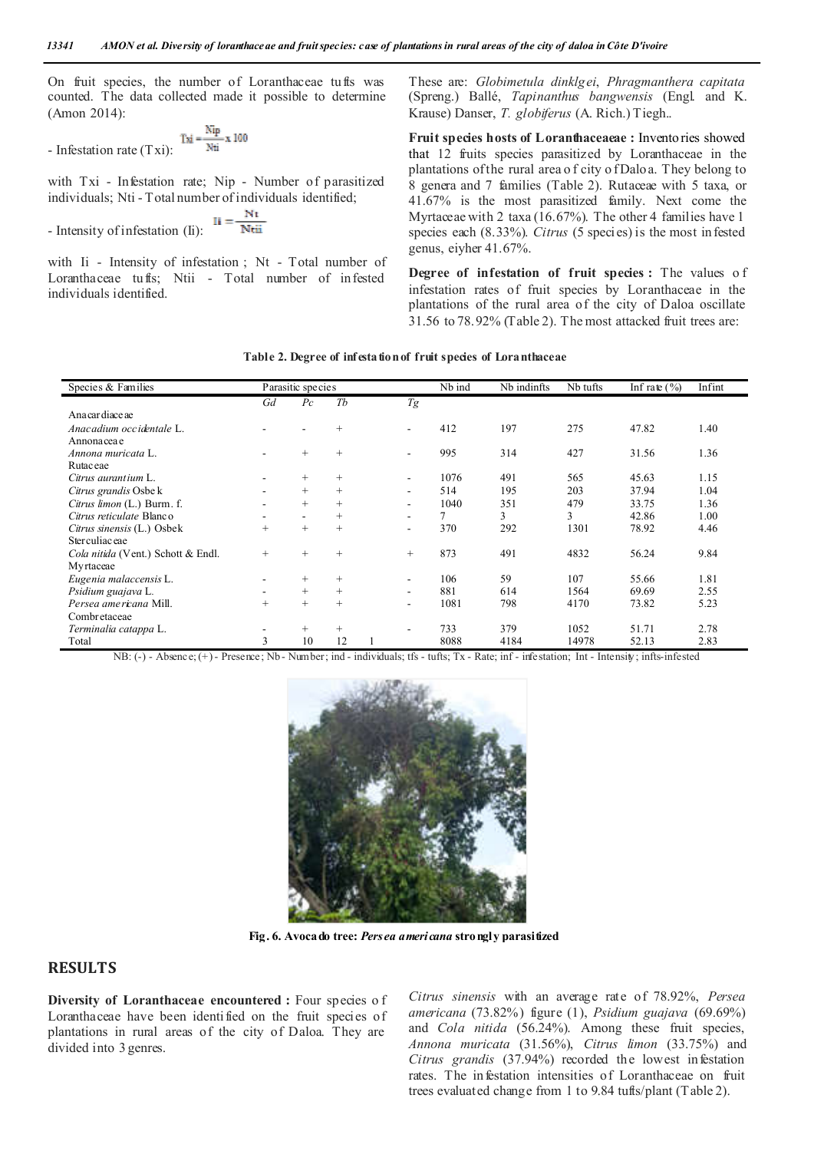On fruit species, the number of Loranthaceae tufts was counted. The data collected made it possible to determine (Amon 2014):

- Infestation rate (T xi): 
$$
\frac{\text{Tu}}{\text{Nti}} = \frac{\text{Ntp}}{\text{Nti}} \cdot \text{N}
$$

with Txi - Infestation rate; Nip - Number of parasitized individuals; Nti - Total number of individuals identified;

- Intensity of infestation (Ii): 
$$
II = \frac{Nt}{Ntii}
$$

with Ii - Intensity of infestation ; Nt - Total number of Loranthaceae tufts; Ntii - Total number of infested individuals identified.

These are: *Globimetula dinklgei*, *Phragmanthera capitata* (Spreng.) Ballé, *Tapinanthus bangwensis* (Engl. and K. Krause) Danser, *T. globiferus* (A. Rich.) Tiegh..

**Fruit species hosts of Loranthaceaeae :** Inventories showed that 12 fruits species parasitized by Loranthaceae in the plantations of the rural area o f city o f Daloa. They belong to 8 genera and 7 families (Table 2). Rutaceae with 5 taxa, or 41.67% is the most parasitized family. Next come the Myrtaceae with 2 taxa (16.67%). The other 4 families have 1 species each (8.33%). *Citrus* (5 species) is the most infested genus, eiyher 41.67%.

**Degree of infestation of fruit species :** The values o f infestation rates of fruit species by Loranthaceae in the plantations of the rural area of the city of Daloa oscillate 31.56 to 78.92% (Table 2). The most attacked fruit trees are:

### **Table 2. Degree of infestation of fruit species of Loranthaceae**

| Species & Families                 | Parasitic species |                          |        |  |                          | Nb ind | Nb indinfts | Nb tufts | Infrate $(\% )$ | Infint |
|------------------------------------|-------------------|--------------------------|--------|--|--------------------------|--------|-------------|----------|-----------------|--------|
|                                    | Gd                | $P_{\mathcal{C}}$        | Tb     |  | Tg                       |        |             |          |                 |        |
| Ana car diace ae                   |                   |                          |        |  |                          |        |             |          |                 |        |
| Anacadium occidentale L.           |                   | ۰                        | $^{+}$ |  | ٠                        | 412    | 197         | 275      | 47.82           | 1.40   |
| Annonacea e                        |                   |                          |        |  |                          |        |             |          |                 |        |
| Annona muricata L.                 |                   | $+$                      | $\! +$ |  |                          | 995    | 314         | 427      | 31.56           | 1.36   |
| Rutac eae                          |                   |                          |        |  |                          |        |             |          |                 |        |
| Citrus aurantium L.                |                   | $^{+}$                   | $\! +$ |  | ۰                        | 1076   | 491         | 565      | 45.63           | 1.15   |
| Citrus grandis Osbe k              |                   | $\qquad \qquad +$        | $\! +$ |  |                          | 514    | 195         | 203      | 37.94           | 1.04   |
| Citrus limon (L.) Burm. f.         |                   | $+$                      | $+$    |  | $\overline{\phantom{0}}$ | 1040   | 351         | 479      | 33.75           | 1.36   |
| Citrus reticulate Blanco           |                   | $\overline{\phantom{a}}$ | $\! +$ |  | ۰                        | 7      | 3           | 3        | 42.86           | 1.00   |
| Citrus sinensis (L.) Osbek         | $^{+}$            | $^{+}$                   | $^{+}$ |  | ۰                        | 370    | 292         | 1301     | 78.92           | 4.46   |
| Ster culiac eae                    |                   |                          |        |  |                          |        |             |          |                 |        |
| Cola nitida (Vent.) Schott & Endl. | $^{+}$            | $+$                      | $^{+}$ |  | $^{+}$                   | 873    | 491         | 4832     | 56.24           | 9.84   |
| Myrtaceae                          |                   |                          |        |  |                          |        |             |          |                 |        |
| Eugenia malaccensis L.             |                   | $^{+}$                   | $^{+}$ |  |                          | 106    | 59          | 107      | 55.66           | 1.81   |
| <i>Psidium guajava L.</i>          |                   | $^{+}$                   | $\! +$ |  |                          | 881    | 614         | 1564     | 69.69           | 2.55   |
| Persea americana Mill.             | $^{+}$            | $+$                      | $^{+}$ |  |                          | 1081   | 798         | 4170     | 73.82           | 5.23   |
| Combretaceae                       |                   |                          |        |  |                          |        |             |          |                 |        |
| Terminalia catappa L.              |                   | $^{+}$                   | $\! +$ |  |                          | 733    | 379         | 1052     | 51.71           | 2.78   |
| Total                              | 3                 | 10                       | 12     |  |                          | 8088   | 4184        | 14978    | 52.13           | 2.83   |

NB: (-) - Absence; (+) - Presence; Nb - Number; ind - individuals; tfs - tufts; Tx - Rate; inf - infestation; Int - Intensity; infts-infested



**Fig. 6. Avocado tree:** *Persea americana* **strongly parasitized**

## **RESULTS**

**Diversity of Loranthaceae encountered :** Four species o f Loranthaceae have been identified on the fruit species of plantations in rural areas of the city of Daloa. They are divided into 3 genres.

*Citrus sinensis* with an average rate of 78.92%, *Persea americana* (73.82%) figure (1), *Psidium guajava* (69.69%) and *Cola nitida* (56.24%). Among these fruit species, *Annona muricata* (31.56%), *Citrus limon* (33.75%) and *Citrus grandis* (37.94%) recorded the lowest infestation rates. The infestation intensities of Loranthaceae on fruit trees evaluated change from 1 to 9.84 tufts/plant (Table 2).